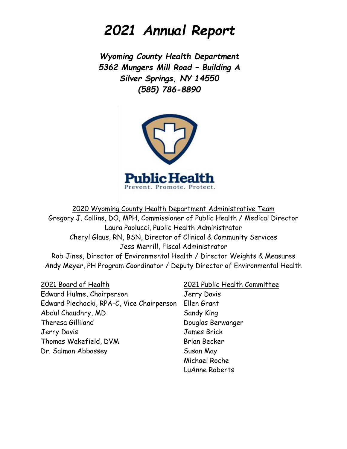# *2021 Annual Report*

*Wyoming County Health Department 5362 Mungers Mill Road – Building A Silver Springs, NY 14550 (585) 786-8890*



2020 Wyoming County Health Department Administrative Team Gregory J. Collins, DO, MPH, Commissioner of Public Health / Medical Director Laura Paolucci, Public Health Administrator Cheryl Glaus, RN, BSN, Director of Clinical & Community Services Jess Merrill, Fiscal Administrator Rob Jines, Director of Environmental Health / Director Weights & Measures Andy Meyer, PH Program Coordinator / Deputy Director of Environmental Health

2021 Board of Health 2021 Public Health Committee Edward Hulme, Chairperson Jerry Davis Edward Piechocki, RPA-C, Vice Chairperson Ellen Grant Abdul Chaudhry, MD Sandy King Theresa Gilliland Douglas Berwanger Jerry Davis James Brick Thomas Wakefield, DVM Brian Becker Dr. Salman Abbassey Susan May

Michael Roche LuAnne Roberts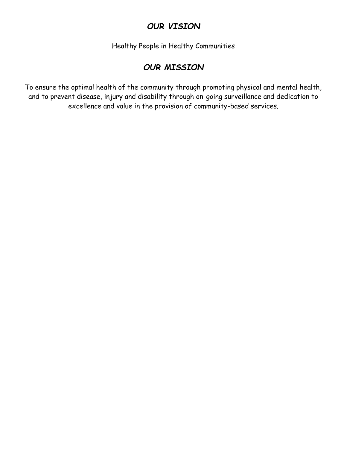### *OUR VISION*

Healthy People in Healthy Communities

### *OUR MISSION*

To ensure the optimal health of the community through promoting physical and mental health, and to prevent disease, injury and disability through on-going surveillance and dedication to excellence and value in the provision of community-based services.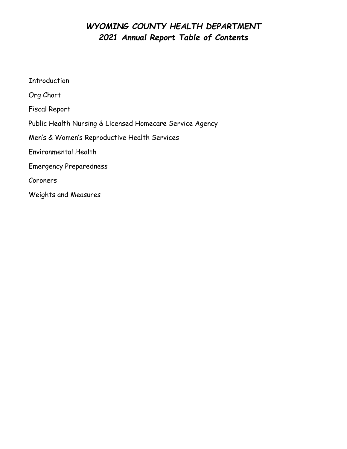### *WYOMING COUNTY HEALTH DEPARTMENT 2021 Annual Report Table of Contents*

Introduction Org Chart Fiscal Report Public Health Nursing & Licensed Homecare Service Agency Men's & Women's Reproductive Health Services Environmental Health Emergency Preparedness Coroners Weights and Measures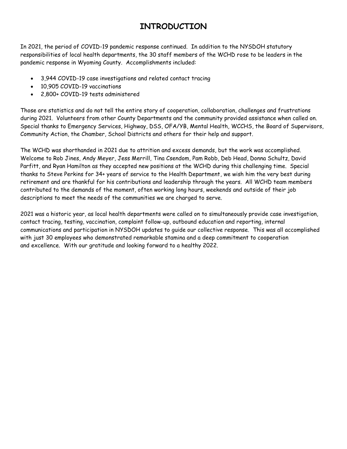### **INTRODUCTION**

In 2021, the period of COVID-19 pandemic response continued. In addition to the NYSDOH statutory responsibilities of local health departments, the 30 staff members of the WCHD rose to be leaders in the pandemic response in Wyoming County. Accomplishments included:

- 3,944 COVID-19 case investigations and related contact tracing
- 10,905 COVID-19 vaccinations
- 2,800+ COVID-19 tests administered

Those are statistics and do not tell the entire story of cooperation, collaboration, challenges and frustrations during 2021. Volunteers from other County Departments and the community provided assistance when called on. Special thanks to Emergency Services, Highway, DSS, OFA/YB, Mental Health, WCCHS, the Board of Supervisors, Community Action, the Chamber, School Districts and others for their help and support.

The WCHD was shorthanded in 2021 due to attrition and excess demands, but the work was accomplished. Welcome to Rob Jines, Andy Meyer, Jess Merrill, Tina Csendom, Pam Robb, Deb Head, Donna Schultz, David Parfitt, and Ryan Hamilton as they accepted new positions at the WCHD during this challenging time. Special thanks to Steve Perkins for 34+ years of service to the Health Department, we wish him the very best during retirement and are thankful for his contributions and leadership through the years. All WCHD team members contributed to the demands of the moment, often working long hours, weekends and outside of their job descriptions to meet the needs of the communities we are charged to serve.

2021 was a historic year, as local health departments were called on to simultaneously provide case investigation, contact tracing, testing, vaccination, complaint follow-up, outbound education and reporting, internal communications and participation in NYSDOH updates to guide our collective response. This was all accomplished with just 30 employees who demonstrated remarkable stamina and a deep commitment to cooperation and excellence. With our gratitude and looking forward to a healthy 2022.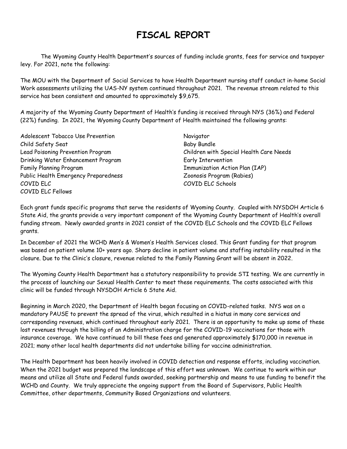## **FISCAL REPORT**

The Wyoming County Health Department's sources of funding include grants, fees for service and taxpayer levy. For 2021, note the following:

The MOU with the Department of Social Services to have Health Department nursing staff conduct in-home Social Work assessments utilizing the UAS-NY system continued throughout 2021. The revenue stream related to this service has been consistent and amounted to approximately \$9,675.

A majority of the Wyoming County Department of Health's funding is received through NYS (36%) and Federal (22%) funding. In 2021, the Wyoming County Department of Health maintained the following grants:

Adolescent Tobacco Use Prevention Navigator Child Safety Seat Baby Bundle Drinking Water Enhancement Program Factor Early Intervention Family Planning Program The Communization Action Plan (IAP) Public Health Emergency Preparedness The Manuscript Coonosis Program (Rabies) COVID ELC COVID ELC Schools COVID ELC Fellows

Lead Poisoning Prevention Program Children with Special Health Care Needs

Each grant funds specific programs that serve the residents of Wyoming County. Coupled with NYSDOH Article 6 State Aid, the grants provide a very important component of the Wyoming County Department of Health's overall funding stream. Newly awarded grants in 2021 consist of the COVID ELC Schools and the COVID ELC Fellows grants.

In December of 2021 the WCHD Men's & Women's Health Services closed. This Grant funding for that program was based on patient volume 10+ years ago. Sharp decline in patient volume and staffing instability resulted in the closure. Due to the Clinic's closure, revenue related to the Family Planning Grant will be absent in 2022.

The Wyoming County Health Department has a statutory responsibility to provide STI testing. We are currently in the process of launching our Sexual Health Center to meet these requirements. The costs associated with this clinic will be funded through NYSDOH Article 6 State Aid.

Beginning in March 2020, the Department of Health began focusing on COVID-related tasks. NYS was on a mandatory PAUSE to prevent the spread of the virus, which resulted in a hiatus in many core services and corresponding revenues, which continued throughout early 2021. There is an opportunity to make up some of these lost revenues through the billing of an Administration charge for the COVID-19 vaccinations for those with insurance coverage. We have continued to bill these fees and generated approximately \$170,000 in revenue in 2021; many other local health departments did not undertake billing for vaccine administration.

The Health Department has been heavily involved in COVID detection and response efforts, including vaccination. When the 2021 budget was prepared the landscape of this effort was unknown. We continue to work within our means and utilize all State and Federal funds awarded, seeking partnership and means to use funding to benefit the WCHD and County. We truly appreciate the ongoing support from the Board of Supervisors, Public Health Committee, other departments, Community Based Organizations and volunteers.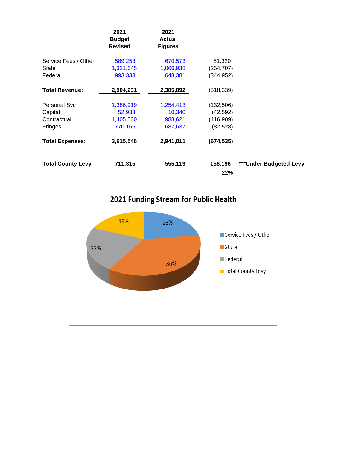|                          | 2021<br><b>Budget</b><br><b>Revised</b> | 2021<br><b>Actual</b><br><b>Figures</b> |            |                         |
|--------------------------|-----------------------------------------|-----------------------------------------|------------|-------------------------|
| Service Fees / Other     | 589,253                                 | 670,573                                 | 81,320     |                         |
| State                    | 1,321,645                               | 1,066,938                               | (254, 707) |                         |
| Federal                  | 993,333                                 | 648,381                                 | (344,952)  |                         |
| <b>Total Revenue:</b>    | 2,904,231                               | 2,385,892                               | (518, 339) |                         |
| <b>Personal Svc</b>      | 1,386,919                               | 1,254,413                               | (132, 506) |                         |
| Capital                  | 52,933                                  | 10,340                                  | (42, 592)  |                         |
| Contractual              | 1,405,530                               | 988,621                                 | (416,909)  |                         |
| Fringes                  | 770,165                                 | 687,637                                 | (82, 528)  |                         |
| <b>Total Expenses:</b>   | 3,615,546                               | 2,941,011                               | (674, 535) |                         |
| <b>Total County Levy</b> | 711,315                                 | 555,119                                 | 156,196    | *** Under Budgeted Levy |
|                          |                                         |                                         | $-22\%$    |                         |

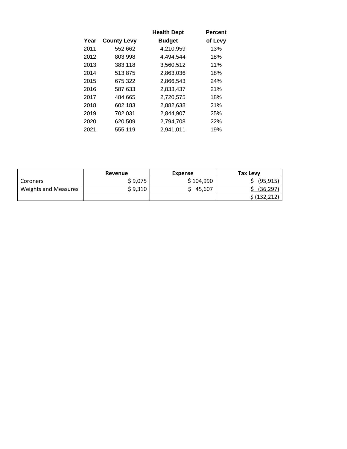|      |                    | <b>Health Dept</b> | <b>Percent</b> |
|------|--------------------|--------------------|----------------|
| Year | <b>County Levy</b> | <b>Budget</b>      | of Levy        |
| 2011 | 552,662            | 4,210,959          | 13%            |
| 2012 | 803,998            | 4,494,544          | 18%            |
| 2013 | 383,118            | 3,560,512          | 11%            |
| 2014 | 513,875            | 2,863,036          | 18%            |
| 2015 | 675,322            | 2,866,543          | 24%            |
| 2016 | 587,633            | 2,833,437          | 21%            |
| 2017 | 484,665            | 2,720,575          | 18%            |
| 2018 | 602,183            | 2,882,638          | 21%            |
| 2019 | 702,031            | 2,844,907          | 25%            |
| 2020 | 620,509            | 2,794,708          | 22%            |
| 2021 | 555,119            | 2,941,011          | 19%            |

|                             | Revenue | <b>Expense</b> | Tax Levy      |
|-----------------------------|---------|----------------|---------------|
| Coroners                    | \$9,075 | \$104,990      | (95, 915)     |
| <b>Weights and Measures</b> | \$9,310 | 45,607         | (36,297       |
|                             |         |                | \$ (132, 212) |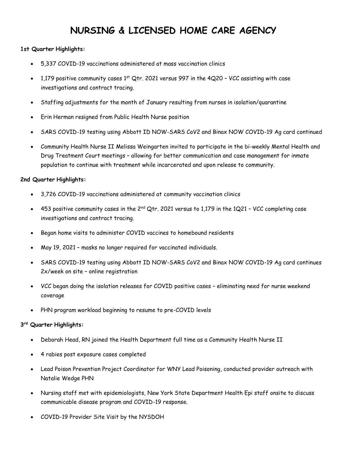## **NURSING & LICENSED HOME CARE AGENCY**

#### **1st Quarter Highlights:**

- 5,337 COVID-19 vaccinations administered at mass vaccination clinics
- 1,179 positive community cases  $1<sup>st</sup>$  Qtr. 2021 versus 997 in the 4Q20 VCC assisting with case investigations and contract tracing.
- Staffing adjustments for the month of January resulting from nurses in isolation/quarantine
- Erin Herman resigned from Public Health Nurse position
- SARS COVID-19 testing using Abbott ID NOW-SARS CoV2 and Binax NOW COVID-19 Ag card continued
- Community Health Nurse II Melissa Weingarten invited to participate in the bi-weekly Mental Health and Drug Treatment Court meetings – allowing for better communication and case management for inmate population to continue with treatment while incarcerated and upon release to community.

#### **2nd Quarter Highlights:**

- 3,726 COVID-19 vaccinations administered at community vaccination clinics
- 453 positive community cases in the  $2^{nd}$  Qtr. 2021 versus to 1,179 in the 1Q21 VCC completing case investigations and contract tracing.
- Began home visits to administer COVID vaccines to homebound residents
- May 19, 2021 masks no longer required for vaccinated individuals.
- SARS COVID-19 testing using Abbott ID NOW-SARS CoV2 and Binax NOW COVID-19 Ag card continues 2x/week on site – online registration
- VCC began doing the isolation releases for COVID positive cases eliminating need for nurse weekend coverage
- PHN program workload beginning to resume to pre-COVID levels

#### **3 rd Quarter Highlights:**

- Deborah Head, RN joined the Health Department full time as a Community Health Nurse II
- 4 rabies post exposure cases completed
- Lead Poison Prevention Project Coordinator for WNY Lead Poisoning, conducted provider outreach with Natalie Wedge PHN
- Nursing staff met with epidemiologists, New York State Department Health Epi staff onsite to discuss communicable disease program and COVID-19 response.
- COVID-19 Provider Site Visit by the NYSDOH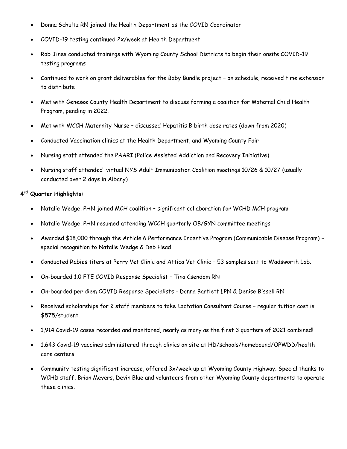- Donna Schultz RN joined the Health Department as the COVID Coordinator
- COVID-19 testing continued 2x/week at Health Department
- Rob Jines conducted trainings with Wyoming County School Districts to begin their onsite COVID-19 testing programs
- Continued to work on grant deliverables for the Baby Bundle project on schedule, received time extension to distribute
- Met with Genesee County Health Department to discuss forming a coalition for Maternal Child Health Program, pending in 2022.
- Met with WCCH Maternity Nurse discussed Hepatitis B birth dose rates (down from 2020)
- Conducted Vaccination clinics at the Health Department, and Wyoming County Fair
- Nursing staff attended the PAARI (Police Assisted Addiction and Recovery Initiative)
- Nursing staff attended virtual NYS Adult Immunization Coalition meetings 10/26 & 10/27 (usually conducted over 2 days in Albany)

### **4 rd Quarter Highlights:**

- Natalie Wedge, PHN joined MCH coalition significant collaboration for WCHD MCH program
- Natalie Wedge, PHN resumed attending WCCH quarterly OB/GYN committee meetings
- Awarded \$18,000 through the Article 6 Performance Incentive Program (Communicable Disease Program) special recognition to Natalie Wedge & Deb Head.
- Conducted Rabies titers at Perry Vet Clinic and Attica Vet Clinic 53 samples sent to Wadsworth Lab.
- On-boarded 1.0 FTE COVID Response Specialist Tina Csendom RN
- On-boarded per diem COVID Response Specialists Donna Bartlett LPN & Denise Bissell RN
- Received scholarships for 2 staff members to take Lactation Consultant Course regular tuition cost is \$575/student.
- 1,914 Covid-19 cases recorded and monitored, nearly as many as the first 3 quarters of 2021 combined!
- 1,643 Covid-19 vaccines administered through clinics on site at HD/schools/homebound/OPWDD/health care centers
- Community testing significant increase, offered 3x/week up at Wyoming County Highway. Special thanks to WCHD staff, Brian Meyers, Devin Blue and volunteers from other Wyoming County departments to operate these clinics.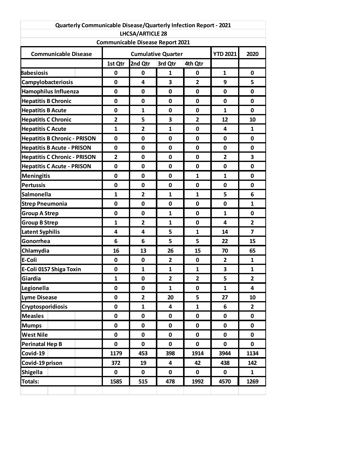|                                     | Quarterly Communicable Disease/Quarterly Infection Report - 2021 |                                                                    |                 |                |                |                         |
|-------------------------------------|------------------------------------------------------------------|--------------------------------------------------------------------|-----------------|----------------|----------------|-------------------------|
|                                     |                                                                  | <b>LHCSA/ARTICLE 28</b><br><b>Communicable Disease Report 2021</b> |                 |                |                |                         |
|                                     |                                                                  |                                                                    |                 |                |                |                         |
| <b>Communicable Disease</b>         |                                                                  | <b>Cumulative Quarter</b>                                          | <b>YTD 2021</b> | 2020           |                |                         |
|                                     | 1st Qtr                                                          | 2nd Qtr                                                            | 3rd Qtr         | 4th Qtr        |                |                         |
| <b>Babesiosis</b>                   | 0                                                                | $\mathbf 0$                                                        | 1               | 0              | $\mathbf{1}$   | 0                       |
| <b>Campylobacteriosis</b>           | 0                                                                | 4                                                                  | 3               | $\overline{2}$ | 9              | 5                       |
| <b>Hamophilus Influenza</b>         | 0                                                                | 0                                                                  | 0               | 0              | 0              | 0                       |
| <b>Hepatitis B Chronic</b>          | 0                                                                | $\mathbf 0$                                                        | $\mathbf 0$     | 0              | 0              | 0                       |
| <b>Hepatitis B Acute</b>            | 0                                                                | $\mathbf{1}$                                                       | $\mathbf 0$     | 0              | 1              | 0                       |
| <b>Hepatitls C Chronic</b>          | $\overline{2}$                                                   | 5                                                                  | 3               | $\overline{2}$ | 12             | 10                      |
| <b>Hepatitis C Acute</b>            | $\mathbf{1}$                                                     | $\mathbf{2}$                                                       | 1               | 0              | 4              | 1                       |
| <b>Hepatitis B Chronic - PRISON</b> | 0                                                                | $\mathbf 0$                                                        | $\mathbf 0$     | $\mathbf{0}$   | 0              | 0                       |
| <b>Hepatitis B Acute - PRISON</b>   | 0                                                                | $\mathbf 0$                                                        | $\mathbf 0$     | 0              | 0              | 0                       |
| <b>Hepatitis C Chronic - PRISON</b> | $\overline{2}$                                                   | $\mathbf 0$                                                        | 0               | 0              | $\overline{2}$ | 3                       |
| <b>Hepatitis C Acute - PRISON</b>   | 0                                                                | 0                                                                  | 0               | 0              | 0              | 0                       |
| <b>Meningitis</b>                   | 0                                                                | $\mathbf 0$                                                        | $\mathbf 0$     | $\mathbf{1}$   | 1              | 0                       |
| <b>Pertussis</b>                    | 0                                                                | $\mathbf 0$                                                        | $\mathbf 0$     | 0              | 0              | 0                       |
| Salmonella                          | $\mathbf{1}$                                                     | $\overline{2}$                                                     | $\mathbf{1}$    | $\mathbf{1}$   | 5              | 6                       |
| <b>Strep Pneumonia</b>              | 0                                                                | $\mathbf 0$                                                        | 0               | 0              | 0              | 1                       |
| <b>Group A Strep</b>                | 0                                                                | 0                                                                  | $\mathbf{1}$    | $\mathbf{0}$   | 1              | 0                       |
| <b>Group B Strep</b>                | $\mathbf{1}$                                                     | $\overline{2}$                                                     | $\mathbf{1}$    | 0              | 4              | $\overline{2}$          |
| <b>Latent Syphilis</b>              | 4                                                                | 4                                                                  | 5               | $\mathbf{1}$   | 14             | $\overline{\mathbf{z}}$ |
| Gonorrhea                           | 6                                                                | 6                                                                  | 5               | 5              | 22             | 15                      |
| Chlamydia                           | 16                                                               | 13                                                                 | 26              | 15             | 70             | 65                      |
| E-Coli                              | 0                                                                | $\mathbf 0$                                                        | $\overline{2}$  | $\mathbf 0$    | $\overline{2}$ | 1                       |
| E-Coli 0157 Shiga Toxin             | 0                                                                | $\mathbf{1}$                                                       | $\mathbf{1}$    | $\mathbf{1}$   | 3              | $\mathbf{1}$            |
| Giardia                             | $\mathbf{1}$                                                     | 0                                                                  | $\mathbf{2}$    | $\mathbf{2}$   | 5              | $\mathbf{2}$            |
| Legionella                          | $\mathbf 0$                                                      | $\mathbf 0$                                                        | $\mathbf{1}$    | 0              | $\mathbf{1}$   | 4                       |
| <b>Lyme Disease</b>                 | $\mathbf 0$                                                      | $\mathbf{2}$                                                       | 20              | 5              | 27             | 10                      |
| <b>Cryptosporidiosis</b>            | 0                                                                | $\mathbf{1}$                                                       | 4               | $\mathbf{1}$   | 6              | $\mathbf{2}$            |
| <b>Measles</b>                      | 0                                                                | 0                                                                  | 0               | 0              | 0              | 0                       |
| <b>Mumps</b>                        | $\pmb{0}$                                                        | 0                                                                  | 0               | 0              | 0              | 0                       |
| <b>West Nile</b>                    | $\mathbf 0$                                                      | $\mathbf 0$                                                        | $\mathbf 0$     | $\mathbf 0$    | 0              | 0                       |
| <b>Perinatal Hep B</b>              | $\mathbf 0$                                                      | 0                                                                  | $\pmb{0}$       | 0              | $\mathbf 0$    | $\mathbf 0$             |
| Covid-19                            | 1179                                                             | 453                                                                | 398             | 1914           | 3944           | 1134                    |
| Covid-19 prison                     | 372                                                              | 19                                                                 | 4               | 42             | 438            | 142                     |
| <b>Shigella</b>                     | $\pmb{0}$                                                        | $\mathbf 0$                                                        | $\mathbf 0$     | $\mathbf 0$    | 0              | $\mathbf{1}$            |
| Totals:                             | 1585                                                             | 515                                                                | 478             | 1992           | 4570           | 1269                    |
|                                     |                                                                  |                                                                    |                 |                |                |                         |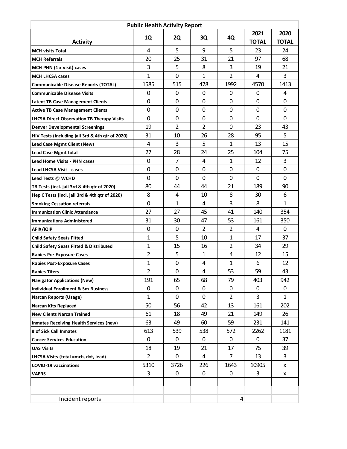|                                      | <b>Public Health Activity Report</b>               |                |                |                |                |              |              |
|--------------------------------------|----------------------------------------------------|----------------|----------------|----------------|----------------|--------------|--------------|
|                                      |                                                    |                | 2Q             |                | 4Q             | 2021         | 2020         |
|                                      | <b>Activity</b>                                    | 1Q             |                | 3Q             |                | <b>TOTAL</b> | <b>TOTAL</b> |
| <b>MCH visits Total</b>              |                                                    | 4              | 5              | 9              | 5              | 23           | 24           |
| <b>MCH Referrals</b>                 |                                                    | 20             | 25             | 31             | 21             | 97           | 68           |
|                                      | MCH PHN $(1 \times \text{visit})$ cases            | 3              | 5              | 8              | 3              | 19           | 21           |
| <b>MCH LHCSA cases</b>               |                                                    | 1              | $\mathbf 0$    | 1              | $\overline{2}$ | 4            | 3            |
|                                      | <b>Communicable Disease Reports (TOTAL)</b>        | 1585           | 515            | 478            | 1992           | 4570         | 1413         |
|                                      | <b>Communicable Disease Visits</b>                 | 0              | 0              | 0              | 0              | 0            | 4            |
|                                      | <b>Latent TB Case Management Clients</b>           | 0              | $\mathbf 0$    | 0              | 0              | $\mathbf 0$  | $\mathbf 0$  |
|                                      | <b>Active TB Case Management Clients</b>           | 0              | $\mathbf 0$    | $\mathbf 0$    | 0              | $\mathbf 0$  | $\mathbf 0$  |
|                                      | <b>LHCSA Direct Observation TB Therapy Visits</b>  | 0              | $\mathbf 0$    | $\mathbf 0$    | $\mathbf 0$    | $\mathbf 0$  | $\mathbf 0$  |
|                                      | <b>Denver Developmental Screenings</b>             | 19             | $\overline{2}$ | $\overline{2}$ | $\mathbf 0$    | 23           | 43           |
|                                      | HIV Tests (including jail 3rd & 4th qtr of 2020)   | 31             | 10             | 26             | 28             | 95           | 5            |
|                                      | Lead Case Mgmt Client (New)                        | 4              | 3              | 5              | 1              | 13           | 15           |
| <b>Lead Case Mgmt total</b>          |                                                    | 27             | 28             | 24             | 25             | 104          | 75           |
|                                      | <b>Lead Home Visits - PHN cases</b>                | 0              | $\overline{7}$ | 4              | $\mathbf{1}$   | 12           | 3            |
| Lead LHCSA Visit- cases              |                                                    | 0              | $\mathbf 0$    | 0              | $\mathbf 0$    | $\mathbf 0$  | $\mathbf 0$  |
| Lead Tests @ WCHD                    |                                                    | $\mathbf 0$    | $\mathbf 0$    | $\mathbf 0$    | $\mathbf 0$    | 0            | $\mathbf 0$  |
|                                      | TB Tests (incl. jail 3rd & 4th qtr of 2020)        | 80             | 44             | 44             | 21             | 189          | 90           |
|                                      | Hep C Tests (incl. jail 3rd & 4th qtr of 2020)     | 8              | 4              | 10             | 8              | 30           | 6            |
|                                      | <b>Smoking Cessation referrals</b>                 | 0              | 1              | 4              | 3              | 8            | $\mathbf 1$  |
|                                      | <b>Immunization Clinic Attendance</b>              | 27             | 27             | 45             | 41             | 140          | 354          |
|                                      | <b>Immunizations Administered</b>                  | 31             | 30             | 47             | 53             | 161          | 350          |
| AFIX/IQIP                            |                                                    | 0              | $\mathbf 0$    | 2              | $\overline{2}$ | 4            | 0            |
| <b>Child Safety Seats Fitted</b>     |                                                    | $\mathbf{1}$   | 5              | 10             | $\mathbf{1}$   | 17           | 37           |
|                                      | <b>Child Safety Seats Fitted &amp; Distributed</b> | 1              | 15             | 16             | $\overline{2}$ | 34           | 29           |
|                                      | <b>Rabies Pre-Exposure Cases</b>                   | $\overline{2}$ | 5              | $\mathbf{1}$   | 4              | 12           | 15           |
|                                      | <b>Rabies Post-Exposure Cases</b>                  | 1              | $\mathbf 0$    | 4              | 1              | 6            | 12           |
| <b>Rabies Titers</b>                 |                                                    | $\overline{2}$ | 0              | 4              | 53             | 59           | 43           |
|                                      | <b>Navigator Applications (New)</b>                | 191            | 65             | 68             | 79             | 403          | 942          |
|                                      | <b>Individual Enrollment &amp; Sm Business</b>     | 0              | 0              | 0              | 0              | 0            | 0            |
| <b>Narcan Reports (Usage)</b>        |                                                    | $\mathbf{1}$   | $\mathbf 0$    | $\Omega$       | $\overline{2}$ | 3            | $\mathbf{1}$ |
| <b>Narcan Kits Replaced</b>          |                                                    | 50             | 56             | 42             | 13             | 161          | 202          |
|                                      | <b>New Clients Narcan Trained</b>                  | 61             | 18             | 49             | 21             | 149          | 26           |
|                                      | <b>Inmates Receiving Health Services (new)</b>     | 63             | 49             | 60             | 59             | 231          | 141          |
| # of Sick Call Inmates               |                                                    | 613            | 539            | 538            | 572            | 2262         | 1181         |
|                                      | <b>Cancer Services Education</b>                   | $\mathbf 0$    | 0              | 0              | 0              | 0            | 37           |
| <b>UAS Visits</b>                    |                                                    | 18             | 19             | 21             | 17             | 75           | 39           |
| LHCSA Visits (total =mch, dot, lead) |                                                    | $\overline{2}$ | 0              | 4              | 7              | 13           | 3            |
| <b>COVID-19 vaccinations</b>         |                                                    | 5310           | 3726           | 226            | 1643           | 10905        | X            |
| <b>VAERS</b>                         |                                                    | 3              | $\mathbf 0$    | 0              | 0              | 3            | X            |
|                                      |                                                    |                |                |                |                |              |              |
|                                      |                                                    |                |                |                |                |              |              |
|                                      | Incident reports                                   |                |                |                | 4              |              |              |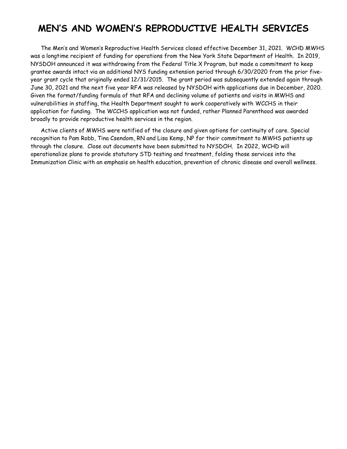### **MEN'S AND WOMEN'S REPRODUCTIVE HEALTH SERVICES**

The Men's and Women's Reproductive Health Services closed effective December 31, 2021. WCHD MWHS was a longtime recipient of funding for operations from the New York State Department of Health. In 2019, NYSDOH announced it was withdrawing from the Federal Title X Program, but made a commitment to keep grantee awards intact via an additional NYS funding extension period through 6/30/2020 from the prior fiveyear grant cycle that originally ended 12/31/2015. The grant period was subsequently extended again through June 30, 2021 and the next five year RFA was released by NYSDOH with applications due in December, 2020. Given the format/funding formula of that RFA and declining volume of patients and visits in MWHS and vulnerabilities in staffing, the Health Department sought to work cooperatively with WCCHS in their application for funding. The WCCHS application was not funded, rather Planned Parenthood was awarded broadly to provide reproductive health services in the region.

Active clients of MWHS were notified of the closure and given options for continuity of care. Special recognition to Pam Robb, Tina Csendom, RN and Lisa Kemp, NP for their commitment to MWHS patients up through the closure. Close out documents have been submitted to NYSDOH. In 2022, WCHD will operationalize plans to provide statutory STD testing and treatment, folding those services into the Immunization Clinic with an emphasis on health education, prevention of chronic disease and overall wellness.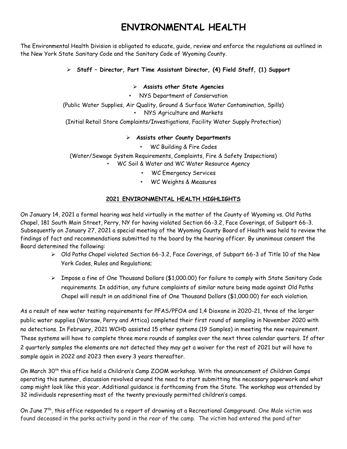## **ENVIRONMENTAL HEALTH**

The Environmental Health Division is obligated to educate, guide, review and enforce the regulations as outlined in the New York State Sanitary Code and the Sanitary Code of Wyoming County.

### **Staff – Director, Part Time Assistant Director, (4) Field Staff, (1) Support**

#### **Assists other State Agencies**

• NYS Department of Conservation

(Public Water Supplies, Air Quality, Ground & Surface Water Contamination, Spills) • NYS Agriculture and Markets

(Initial Retail Store Complaints/Investigations, Facility Water Supply Protection)

#### **Assists other County Departments**

• WC Building & Fire Codes

(Water/Sewage System Requirements, Complaints, Fire & Safety Inspections)

- WC Soil & Water and WC Water Resource Agency
	- WC Emergency Services
	- WC Weights & Measures

#### **2021 ENVIRONMENTAL HEALTH HIGHLIGHTS**

On January 14, 2021 a formal hearing was held virtually in the matter of the County of Wyoming vs. Old Paths Chapel, 181 South Main Street, Perry, NY for having violated Section 66-3.2, Face Coverings, of Subpart 66-3. Subsequently on January 27, 2021 a special meeting of the Wyoming County Board of Health was held to review the findings of fact and recommendations submitted to the board by the hearing officer. By unanimous consent the Board determined the following:

- $\triangleright$  Old Paths Chapel violated Section 66-3.2, Face Coverings, of Subpart 66-3 of Title 10 of the New York Codes, Rules and Regulations;
- Impose a fine of One Thousand Dollars (\$1,000.00) for failure to comply with State Sanitary Code requirements. In addition, any future complaints of similar nature being made against Old Paths Chapel will result in an additional fine of One Thousand Dollars (\$1,000.00) for each violation.

As a result of new water testing requirements for PFAS/PFOA and 1,4 Dioxane in 2020-21, three of the larger public water supplies (Warsaw, Perry and Attica) completed their first round of sampling in November 2020 with no detections. In February, 2021 WCHD assisted 15 other systems (19 Samples) in meeting the new requirement. These systems will have to complete three more rounds of samples over the next three calendar quarters. If after 2 quarterly samples the elements are not detected they may get a waiver for the rest of 2021 but will have to sample again in 2022 and 2023 then every 3 years thereafter.

On March 30th this office held a Children's Camp ZOOM workshop. With the announcement of Children Camps operating this summer, discussion revolved around the need to start submitting the necessary paperwork and what camp might look like this year. Additional guidance is forthcoming from the State. The workshop was attended by 32 individuals representing most of the twenty previously permitted children's camps.

On June 7<sup>th</sup>, this office responded to a report of drowning at a Recreational Campground. One Male victim was found deceased in the parks activity pond in the rear of the camp. The victim had entered the pond after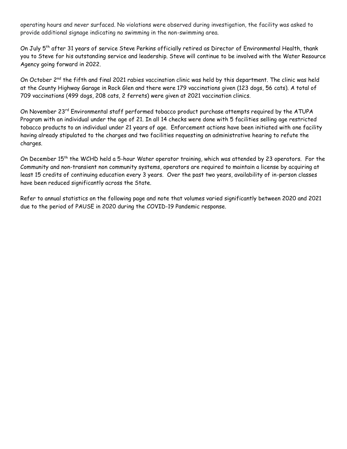operating hours and never surfaced. No violations were observed during investigation, the facility was asked to provide additional signage indicating no swimming in the non-swimming area.

On July 5<sup>th</sup> after 31 years of service Steve Perkins officially retired as Director of Environmental Health, thank you to Steve for his outstanding service and leadership. Steve will continue to be involved with the Water Resource Agency going forward in 2022.

On October 2<sup>nd</sup> the fifth and final 2021 rabies vaccination clinic was held by this department. The clinic was held at the County Highway Garage in Rock Glen and there were 179 vaccinations given (123 dogs, 56 cats). A total of 709 vaccinations (499 dogs, 208 cats, 2 ferrets) were given at 2021 vaccination clinics.

On November 23<sup>rd</sup> Environmental staff performed tobacco product purchase attempts required by the ATUPA Program with an individual under the age of 21. In all 14 checks were done with 5 facilities selling age restricted tobacco products to an individual under 21 years of age. Enforcement actions have been initiated with one facility having already stipulated to the charges and two facilities requesting an administrative hearing to refute the charges.

On December 15th the WCHD held a 5-hour Water operator training, which was attended by 23 operators. For the Community and non-transient non community systems, operators are required to maintain a license by acquiring at least 15 credits of continuing education every 3 years. Over the past two years, availability of in-person classes have been reduced significantly across the State.

Refer to annual statistics on the following page and note that volumes varied significantly between 2020 and 2021 due to the period of PAUSE in 2020 during the COVID-19 Pandemic response.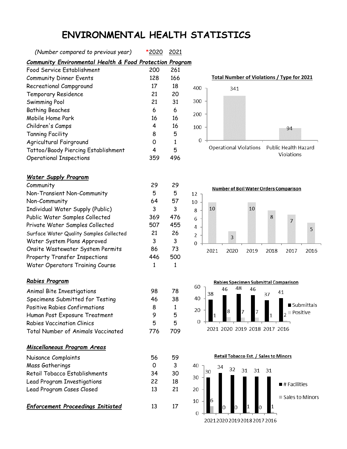### **ENVIRONMENTAL HEALTH STATISTICS**

*(Number compared to previous year)* \*2020 2021

*Community Environmental Health & Food Protection Program*

| Food Service Establishment          | 200 | 261 |
|-------------------------------------|-----|-----|
| <b>Community Dinner Events</b>      | 128 | 166 |
| Recreational Campground             | 17  | 18  |
| Temporary Residence                 | 21  | 20  |
| Swimming Pool                       | 21  | 31  |
| <b>Bathing Beaches</b>              | 6   | 6   |
| Mobile Home Park                    | 16  | 16  |
| Children's Camps                    | 4   | 16  |
| <b>Tanning Facility</b>             | 8   | 5   |
| Agricultural Fairground             | Ω   | 1   |
| Tattoo/Baody Piercing Establishment | 4   | 5   |
| <b>Operational Inspections</b>      | 359 | 496 |

#### *Water Supply Program*

| Community                               | 29  | 29  |
|-----------------------------------------|-----|-----|
| Non-Transient Non-Community             | 5   | 5   |
| Non-Community                           | 64  | 57  |
| Individual Water Supply (Public)        | 3   | 3   |
| Public Water Samples Collected          | 369 | 476 |
| Private Water Samples Collected         | 507 | 455 |
| Surface Water Quality Samples Collected | 21  | 26  |
| Water System Plans Approved             | 3   | 3   |
| Onsite Wastewater System Permits        | 86  | 73  |
| Property Transfer Inspections           | 446 | 500 |
| Water Operators Training Course         | 1   |     |
|                                         |     |     |

#### *Rabies Program*

Animal Bite Investigations 198 78 Specimens Submitted for Testing 46 38 Positive Rabies Confirmations 8 1 Human Post Exposure Treatment 9 5 Rabies Vaccination Clinics 5 5 Total Number of Animals Vaccinated 776 709

#### *Miscellaneous Program Areas*

| Nuisance Complaints           | 56 | 59 |
|-------------------------------|----|----|
| Mass Gatherings               | O  |    |
| Retail Tobacco Establishments | 34 | 30 |
| Lead Program Investigations   | 22 | 18 |
| Lead Program Cases Closed     | 13 | 21 |
|                               |    |    |

**Enforcement Proceedings Initiated** 13 17







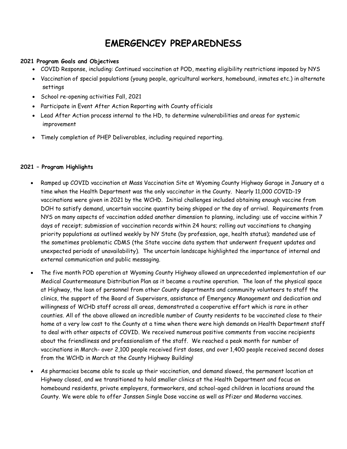### **EMERGENCEY PREPAREDNESS**

#### **2021 Program Goals and Objectives**

- COVID Response, including: Continued vaccination at POD, meeting eligibility restrictions imposed by NYS
- Vaccination of special populations (young people, agricultural workers, homebound, inmates etc.) in alternate settings
- School re-opening activities Fall, 2021
- Participate in Event After Action Reporting with County officials
- Lead After Action process internal to the HD, to determine vulnerabilities and areas for systemic improvement
- Timely completion of PHEP Deliverables, including required reporting.

#### **2021 – Program Highlights**

- Ramped up COVID vaccination at Mass Vaccination Site at Wyoming County Highway Garage in January at a time when the Health Department was the only vaccinator in the County. Nearly 11,000 COVID-19 vaccinations were given in 2021 by the WCHD. Initial challenges included obtaining enough vaccine from DOH to satisfy demand, uncertain vaccine quantity being shipped or the day of arrival. Requirements from NYS on many aspects of vaccination added another dimension to planning, including: use of vaccine within 7 days of receipt; submission of vaccination records within 24 hours; rolling out vaccinations to changing priority populations as outlined weekly by NY State (by profession, age, health status); mandated use of the sometimes problematic CDMS (the State vaccine data system that underwent frequent updates and unexpected periods of unavailability). The uncertain landscape highlighted the importance of internal and external communication and public messaging.
- The five month POD operation at Wyoming County Highway allowed an unprecedented implementation of our Medical Countermeasure Distribution Plan as it became a routine operation. The loan of the physical space at Highway, the loan of personnel from other County departments and community volunteers to staff the clinics, the support of the Board of Supervisors, assistance of Emergency Management and dedication and willingness of WCHD staff across all areas, demonstrated a cooperative effort which is rare in other counties. All of the above allowed an incredible number of County residents to be vaccinated close to their home at a very low cost to the County at a time when there were high demands on Health Department staff to deal with other aspects of COVID. We received numerous positive comments from vaccine recipients about the friendliness and professionalism of the staff. We reached a peak month for number of vaccinations in March- over 2,100 people received first doses, and over 1,400 people received second doses from the WCHD in March at the County Highway Building!
- As pharmacies became able to scale up their vaccination, and demand slowed, the permanent location at Highway closed, and we transitioned to hold smaller clinics at the Health Department and focus on homebound residents, private employers, farmworkers, and school-aged children in locations around the County. We were able to offer Janssen Single Dose vaccine as well as Pfizer and Moderna vaccines.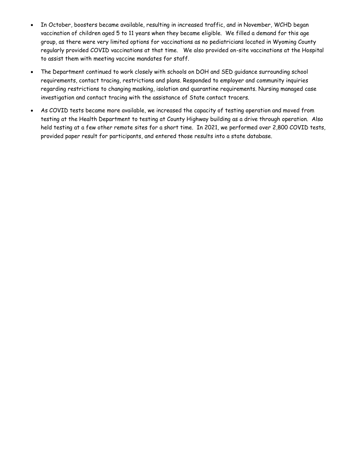- In October, boosters became available, resulting in increased traffic, and in November, WCHD began vaccination of children aged 5 to 11 years when they became eligible. We filled a demand for this age group, as there were very limited options for vaccinations as no pediatricians located in Wyoming County regularly provided COVID vaccinations at that time. We also provided on-site vaccinations at the Hospital to assist them with meeting vaccine mandates for staff.
- The Department continued to work closely with schools on DOH and SED guidance surrounding school requirements, contact tracing, restrictions and plans. Responded to employer and community inquiries regarding restrictions to changing masking, isolation and quarantine requirements. Nursing managed case investigation and contact tracing with the assistance of State contact tracers.
- As COVID tests became more available, we increased the capacity of testing operation and moved from testing at the Health Department to testing at County Highway building as a drive through operation. Also held testing at a few other remote sites for a short time. In 2021, we performed over 2,800 COVID tests, provided paper result for participants, and entered those results into a state database.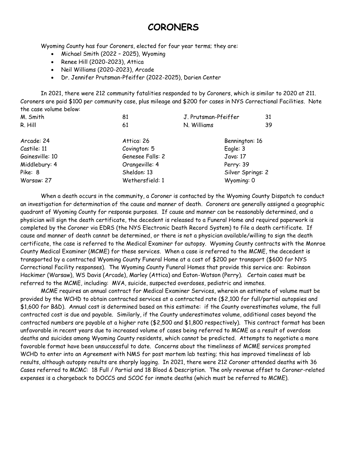### **CORONERS**

Wyoming County has four Coroners, elected for four year terms; they are:

- Michael Smith (2022 2025), Wyoming
- Renee Hill  $(2020-2023)$ , Attica
- Neil Williams (2020-2023), Arcade
- Dr. Jennifer Prutsman-Pfeiffer (2022-2025), Darien Center

In 2021, there were 212 community fatalities responded to by Coroners, which is similar to 2020 at 211. Coroners are paid \$100 per community case, plus mileage and \$200 for cases in NYS Correctional Facilities. Note the case volume below:

| M. Smith        | 81               | J. Prutsman-Pfeiffer | 31 |
|-----------------|------------------|----------------------|----|
| R. Hill         | 61               | N. Williams          | 39 |
| Arcade: 24      | Attica: 26       | Bennington: 16       |    |
| Castile: 11     | Covington: 5     | Eagle: 3             |    |
| Gainesville: 10 | Genesee Falls: 2 | Java: 17             |    |
| Middlebury: 4   | Orangeville: 4   | Perry: 39            |    |
| Pike: 8         | Sheldon: 13      | Silver Springs: 2    |    |
| Warsaw: 27      | Wethersfield: 1  | Wyoming: 0           |    |

When a death occurs in the community, a Coroner is contacted by the Wyoming County Dispatch to conduct an investigation for determination of the cause and manner of death. Coroners are generally assigned a geographic quadrant of Wyoming County for response purposes. If cause and manner can be reasonably determined, and a physician will sign the death certificate, the decedent is released to a Funeral Home and required paperwork is completed by the Coroner via EDRS (the NYS Electronic Death Record System) to file a death certificate. If cause and manner of death cannot be determined, or there is not a physician available/willing to sign the death certificate, the case is referred to the Medical Examiner for autopsy. Wyoming County contracts with the Monroe County Medical Examiner (MCME) for these services. When a case is referred to the MCME, the decedent is transported by a contracted Wyoming County Funeral Home at a cost of \$200 per transport (\$600 for NYS Correctional Facility responses). The Wyoming County Funeral Homes that provide this service are: Robinson Hackimer (Warsaw), WS Davis (Arcade), Marley (Attica) and Eaton-Watson (Perry). Certain cases must be referred to the MCME, including: MVA, suicide, suspected overdoses, pediatric and inmates.

MCME requires an annual contract for Medical Examiner Services, wherein an estimate of volume must be provided by the WCHD to obtain contracted services at a contracted rate (\$2,100 for full/partial autopsies and \$1,600 for B&D). Annual cost is determined based on this estimate: if the County overestimates volume, the full contracted cost is due and payable. Similarly, if the County underestimates volume, additional cases beyond the contracted numbers are payable at a higher rate (\$2,500 and \$1,800 respectively). This contract format has been unfavorable in recent years due to increased volume of cases being referred to MCME as a result of overdose deaths and suicides among Wyoming County residents, which cannot be predicted. Attempts to negotiate a more favorable format have been unsuccessful to date. Concerns about the timeliness of MCME services prompted WCHD to enter into an Agreement with NMS for post mortem lab testing; this has improved timeliness of lab results, although autopsy results are sharply lagging. In 2021, there were 212 Coroner attended deaths with 36 Cases referred to MCMC: 18 Full / Partial and 18 Blood & Description. The only revenue offset to Coroner-related expenses is a chargeback to DOCCS and SCOC for inmate deaths (which must be referred to MCME).